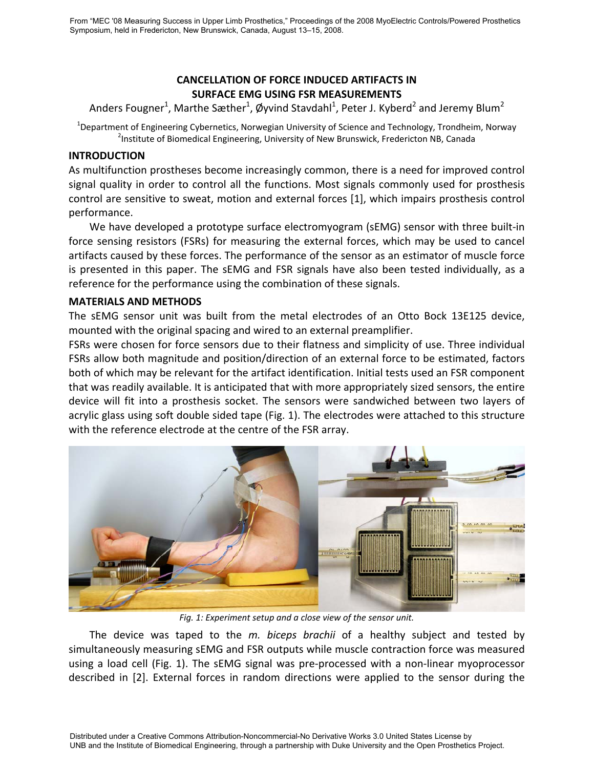# **CANCELLATION OF FORCE INDUCED ARTIFACTS IN SURFACE EMG USING FSR MEASUREMENTS**

Anders Fougner<sup>1</sup>, Marthe Sæther<sup>1</sup>, Øyvind Stavdahl<sup>1</sup>, Peter J. Kyberd<sup>2</sup> and Jeremy Blum<sup>2</sup>

<sup>1</sup>Department of Engineering Cybernetics, Norwegian University of Science and Technology, Trondheim, Norway <sup>2</sup><br><sup>2</sup> Lostitute of Biamodical Engineering, University of Nove Brunswick, Englasitson NB, Canada <sup>2</sup>Institute of Biomedical Engineering, University of New Brunswick, Fredericton NB, Canada

## **INTRODUCTION**

As multifunction prostheses become increasingly common, there is a need for improved control signal quality in order to control all the functions. Most signals commonly used for prosthesis control are sensitive to sweat, motion and external forces [1], which impairs prosthesis control performance.

We have developed a prototype surface electromyogram (sEMG) sensor with three built-in force sensing resistors (FSRs) for measuring the external forces, which may be used to cancel artifacts caused by these forces. The performance of the sensor as an estimator of muscle force is presented in this paper. The sEMG and FSR signals have also been tested individually, as a reference for the performance using the combination of these signals.

# **MATERIALS AND METHODS**

The sEMG sensor unit was built from the metal electrodes of an Otto Bock 13E125 device, mounted with the original spacing and wired to an external preamplifier.

FSRs were chosen for force sensors due to their flatness and simplicity of use. Three individual FSRs allow both magnitude and position/direction of an external force to be estimated, factors both of which may be relevant for the artifact identification. Initial tests used an FSR component that was readily available. It is anticipated that with more appropriately sized sensors, the entire device will fit into a prosthesis socket. The sensors were sandwiched between two layers of acrylic glass using soft double sided tape (Fig. 1). The electrodes were attached to this structure with the reference electrode at the centre of the FSR array.



*Fig. 1: Experiment setup and a close view of the sensor unit.*

The device was taped to the *m. biceps brachii* of a healthy subject and tested by simultaneously measuring sEMG and FSR outputs while muscle contraction force was measured using a load cell (Fig. 1). The sEMG signal was pre‐processed with a non‐linear myoprocessor described in [2]. External forces in random directions were applied to the sensor during the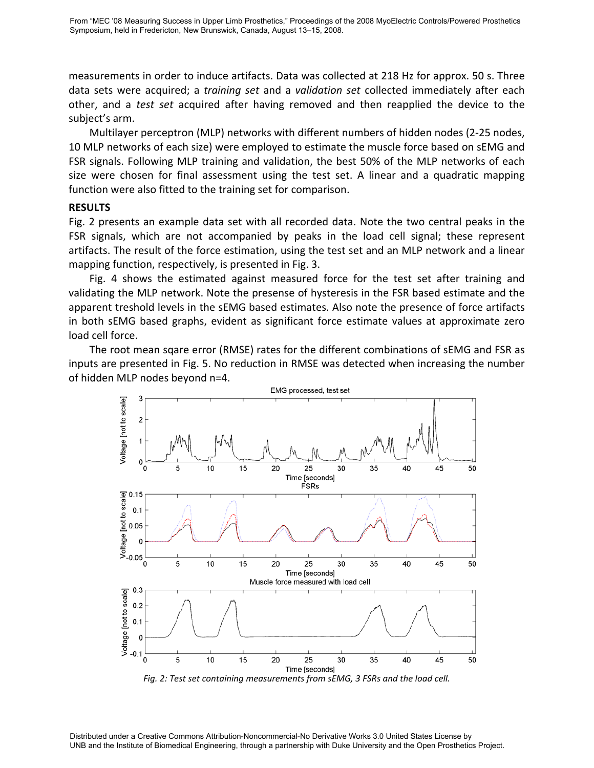measurements in order to induce artifacts. Data was collected at 218 Hz for approx. 50 s. Three data sets were acquired; a *training set* and a *validation set* collected immediately after each other, and a *test set* acquired after having removed and then reapplied the device to the subject's arm.

Multilayer perceptron (MLP) networks with different numbers of hidden nodes (2‐25 nodes, 10 MLP networks of each size) were employed to estimate the muscle force based on sEMG and FSR signals. Following MLP training and validation, the best 50% of the MLP networks of each size were chosen for final assessment using the test set. A linear and a quadratic mapping function were also fitted to the training set for comparison.

## **RESULTS**

Fig. 2 presents an example data set with all recorded data. Note the two central peaks in the FSR signals, which are not accompanied by peaks in the load cell signal; these represent artifacts. The result of the force estimation, using the test set and an MLP network and a linear mapping function, respectively, is presented in Fig. 3.

Fig. 4 shows the estimated against measured force for the test set after training and validating the MLP network. Note the presense of hysteresis in the FSR based estimate and the apparent treshold levels in the sEMG based estimates. Also note the presence of force artifacts in both sEMG based graphs, evident as significant force estimate values at approximate zero load cell force.

The root mean sqare error (RMSE) rates for the different combinations of sEMG and FSR as inputs are presented in Fig. 5. No reduction in RMSE was detected when increasing the number of hidden MLP nodes beyond n=4.



Distributed under a Creative Commons Attribution-Noncommercial-No Derivative Works 3.0 United States License by UNB and the Institute of Biomedical Engineering, through a partnership with Duke University and the Open Prosthetics Project.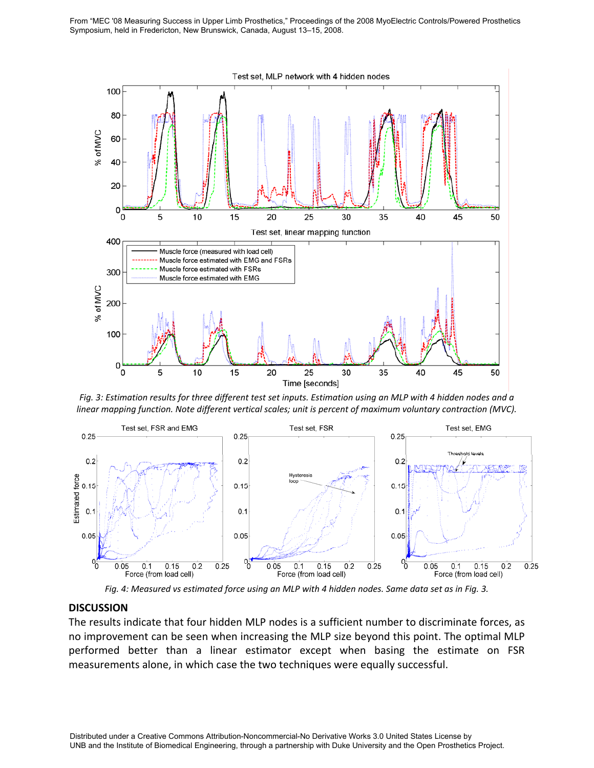From "MEC '08 Measuring Success in Upper Limb Prosthetics," Proceedings of the 2008 MyoElectric Controls/Powered Prosthetics Symposium, held in Fredericton, New Brunswick, Canada, August 13–15, 2008.



Fig. 3: Estimation results for three different test set inputs. Estimation using an MLP with 4 hidden nodes and a *linear mapping function. Note different vertical scales; unit is percent of maximum voluntary contraction (MVC).*



Fig. 4: Measured vs estimated force using an MLP with 4 hidden nodes. Same data set as in Fig. 3.

#### **DISCUSSION**

The results indicate that four hidden MLP nodes is a sufficient number to discriminate forces, as no improvement can be seen when increasing the MLP size beyond this point. The optimal MLP performed better than a linear estimator except when basing the estimate on FSR measurements alone, in which case the two techniques were equally successful.